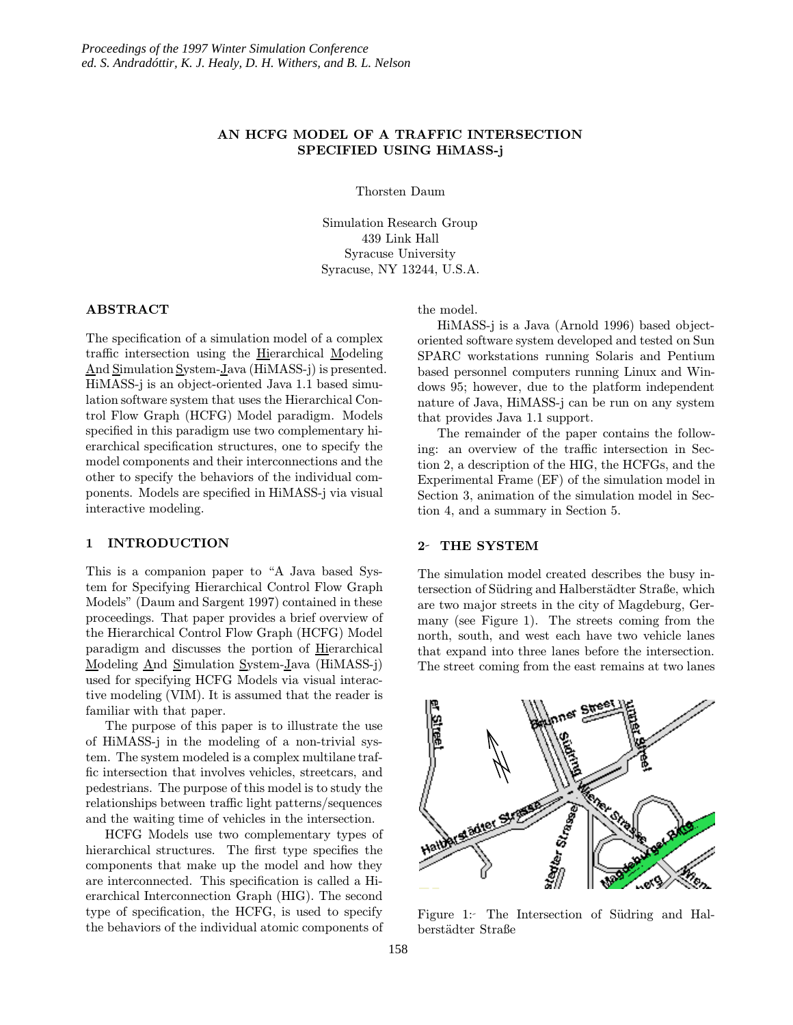# AN HCFG MODEL OF A TRAFFIC INTERSECTION SPECIFIED USING HiMASS-j

Thorsten Daum

Simulation Research Group 439 Link Hall Syracuse University Syracuse, NY 13244, U.S.A.

### ABSTRACT

The specification of a simulation model of a complex traffic intersection using the Hierarchical Modeling And Simulation System-Java (HiMASS-j) is presented. HiMASS-j is an object-oriented Java 1.1 based simulation software system that uses the Hierarchical Control Flow Graph (HCFG) Model paradigm. Models specified in this paradigm use two complementary hierarchical specification structures, one to specify the model components and their interconnections and the other to specify the behaviors of the individual components. Models are specified in HiMASS-j via visual interactive modeling.

#### 1 INTRODUCTION

This is a companion paper to "A Java based System for Specifying Hierarchical Control Flow Graph Models" (Daum and Sargent 1997) contained in these proceedings. That paper provides a brief overview of the Hierarchical Control Flow Graph (HCFG) Model paradigm and discusses the portion of Hierarchical Modeling And Simulation System-Java (HiMASS-j) used for specifying HCFG Models via visual interactive modeling (VIM). It is assumed that the reader is familiar with that paper.

The purpose of this paper is to illustrate the use of HiMASS-j in the modeling of a non-trivial system. The system modeled is a complex multilane traffic intersection that involves vehicles, streetcars, and pedestrians. The purpose of this model is to study the relationships between traffic light patterns/sequences and the waiting time of vehicles in the intersection.

HCFG Models use two complementary types of hierarchical structures. The first type specifies the components that make up the model and how they are interconnected. This specification is called a Hierarchical Interconnection Graph (HIG). The second type of specification, the HCFG, is used to specify the behaviors of the individual atomic components of

the model.

HiMASS-j is a Java (Arnold 1996) based objectoriented software system developed and tested on Sun SPARC workstations running Solaris and Pentium based personnel computers running Linux and Windows 95; however, due to the platform independent nature of Java, HiMASS-j can be run on any system that provides Java 1.1 support.

The remainder of the paper contains the following: an overview of the traffic intersection in Section 2, a description of the HIG, the HCFGs, and the Experimental Frame (EF) of the simulation model in Section 3, animation of the simulation model in Section 4, and a summary in Section 5.

#### 2- THE SYSTEM

The simulation model created describes the busy intersection of Südring and Halberstädter Straße, which are two major streets in the city of Magdeburg, Germany (see Figure 1). The streets coming from the north, south, and west each have two vehicle lanes that expand into three lanes before the intersection. The street coming from the east remains at two lanes



Figure 1: The Intersection of Südring and Halberstädter Straße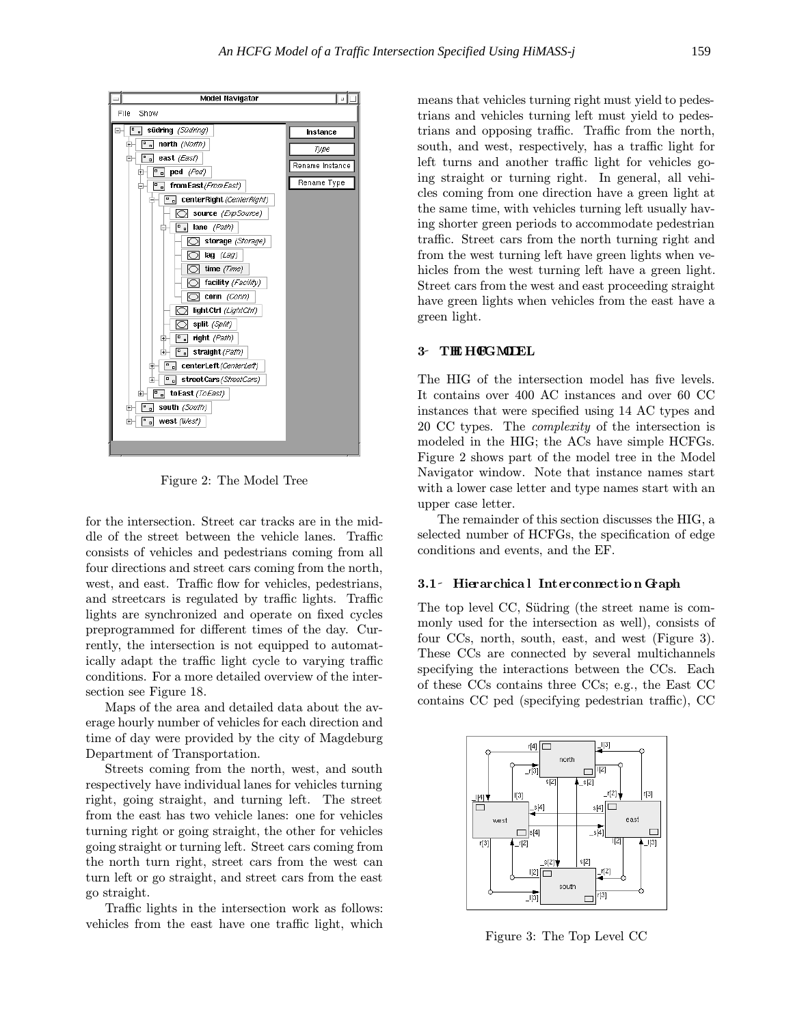

Figure 2: The Model Tree

for the intersection. Street car tracks are in the middle of the street between the vehicle lanes. Traffic consists of vehicles and pedestrians coming from all four directions and street cars coming from the north, west, and east. Traffic flow for vehicles, pedestrians, and streetcars is regulated by traffic lights. Traffic lights are synchronized and operate on fixed cycles preprogrammed for different times of the day. Currently, the intersection is not equipped to automatically adapt the traffic light cycle to varying traffic conditions. For a more detailed overview of the intersection see Figure 18.

Maps of the area and detailed data about the average hourly number of vehicles for each direction and time of day were provided by the city of Magdeburg Department of Transportation.

Streets coming from the north, west, and south respectively have individual lanes for vehicles turning right, going straight, and turning left. The street from the east has two vehicle lanes: one for vehicles turning right or going straight, the other for vehicles going straight or turning left. Street cars coming from the north turn right, street cars from the west can turn left or go straight, and street cars from the east go straight.

Traffic lights in the intersection work as follows: vehicles from the east have one traffic light, which means that vehicles turning right must yield to pedestrians and vehicles turning left must yield to pedestrians and opposing traffic. Traffic from the north, south, and west, respectively, has a traffic light for left turns and another traffic light for vehicles going straight or turning right. In general, all vehicles coming from one direction have a green light at the same time, with vehicles turning left usually having shorter green periods to accommodate pedestrian traffic. Street cars from the north turning right and from the west turning left have green lights when vehicles from the west turning left have a green light. Street cars from the west and east proceeding straight have green lights when vehicles from the east have a green light.

# 3-THE HOGMODEL

The HIG of the intersection model has five levels. It contains over 400 AC instances and over 60 CC instances that were specified using 14 AC types and 20 CC types. The complexity of the intersection is modeled in the HIG; the ACs have simple HCFGs. Figure 2 shows part of the model tree in the Model Navigator window. Note that instance names start with a lower case letter and type names start with an upper case letter.

The remainder of this section discusses the HIG, a selected number of HCFGs, the specification of edge conditions and events, and the EF.

## 3.1 Hierarchica l Interconnection Graph

The top level CC, Südring (the street name is commonly used for the intersection as well), consists of four CCs, north, south, east, and west (Figure 3). These CCs are connected by several multichannels specifying the interactions between the CCs. Each of these CCs contains three CCs; e.g., the East CC contains CC ped (specifying pedestrian traffic), CC



Figure 3: The Top Level CC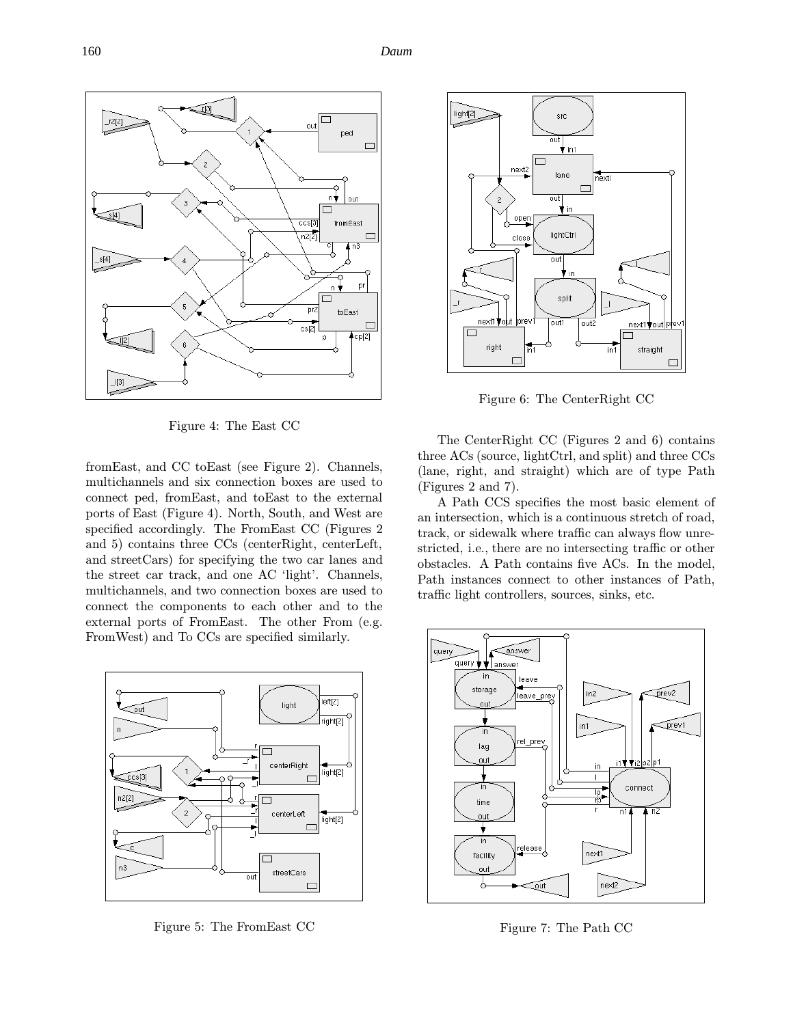

Figure 4: The East CC

fromEast, and CC toEast (see Figure 2). Channels, multichannels and six connection boxes are used to connect ped, fromEast, and toEast to the external ports of East (Figure 4). North, South, and West are specified accordingly. The FromEast CC (Figures 2 and 5) contains three CCs (centerRight, centerLeft, and streetCars) for specifying the two car lanes and the street car track, and one AC 'light'. Channels, multichannels, and two connection boxes are used to connect the components to each other and to the external ports of FromEast. The other From (e.g. FromWest) and To CCs are specified similarly.



Figure 5: The FromEast CC



Figure 6: The CenterRight CC

The CenterRight CC (Figures 2 and 6) contains three ACs (source, lightCtrl, and split) and three CCs (lane, right, and straight) which are of type Path (Figures 2 and 7).

A Path CCS specifies the most basic element of an intersection, which is a continuous stretch of road, track, or sidewalk where traffic can always flow unrestricted, i.e., there are no intersecting traffic or other obstacles. A Path contains five ACs. In the model, Path instances connect to other instances of Path, traffic light controllers, sources, sinks, etc.



Figure 7: The Path CC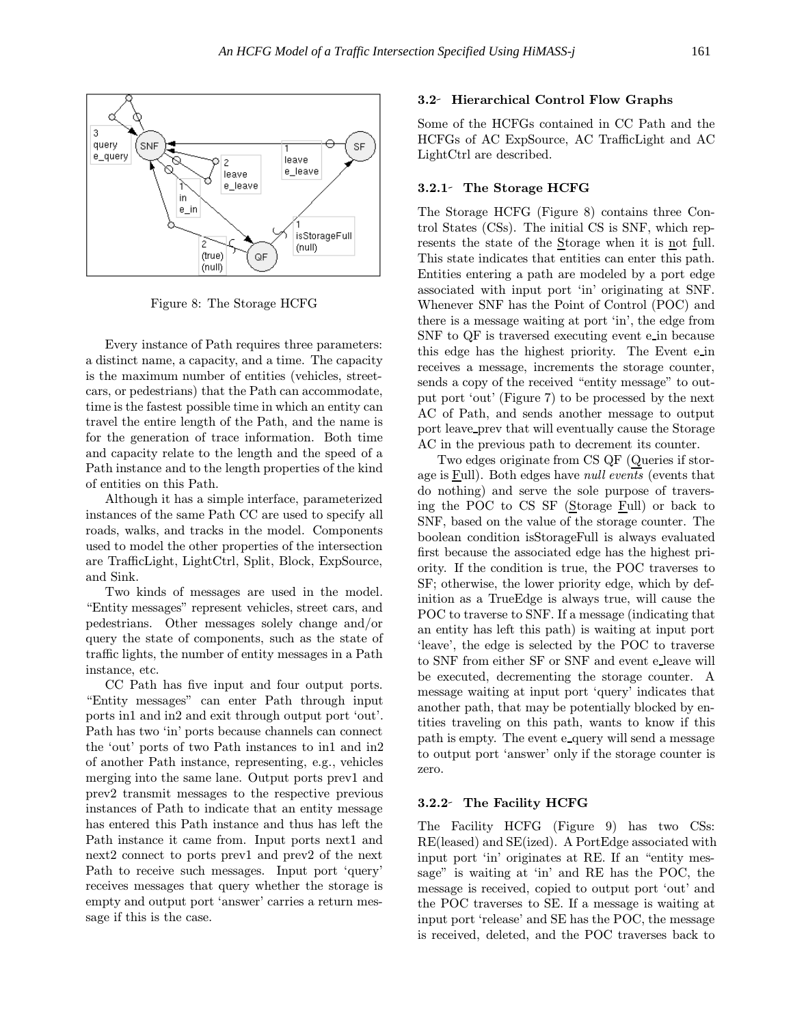

Figure 8: The Storage HCFG

Every instance of Path requires three parameters: a distinct name, a capacity, and a time. The capacity is the maximum number of entities (vehicles, streetcars, or pedestrians) that the Path can accommodate, time is the fastest possible time in which an entity can travel the entire length of the Path, and the name is for the generation of trace information. Both time and capacity relate to the length and the speed of a Path instance and to the length properties of the kind of entities on this Path.

Although it has a simple interface, parameterized instances of the same Path CC are used to specify all roads, walks, and tracks in the model. Components used to model the other properties of the intersection are TrafficLight, LightCtrl, Split, Block, ExpSource, and Sink.

Two kinds of messages are used in the model. "Entity messages" represent vehicles, street cars, and pedestrians. Other messages solely change and/or query the state of components, such as the state of traffic lights, the number of entity messages in a Path instance, etc.

CC Path has five input and four output ports. "Entity messages" can enter Path through input ports in1 and in2 and exit through output port 'out'. Path has two 'in' ports because channels can connect the 'out' ports of two Path instances to in1 and in2 of another Path instance, representing, e.g., vehicles merging into the same lane. Output ports prev1 and prev2 transmit messages to the respective previous instances of Path to indicate that an entity message has entered this Path instance and thus has left the Path instance it came from. Input ports next1 and next2 connect to ports prev1 and prev2 of the next Path to receive such messages. Input port 'query' receives messages that query whether the storage is empty and output port 'answer' carries a return message if this is the case.

#### 3.2 Hierarchical Control Flow Graphs

Some of the HCFGs contained in CC Path and the HCFGs of AC ExpSource, AC TrafficLight and AC LightCtrl are described.

### 3.2.1 The Storage HCFG

The Storage HCFG (Figure 8) contains three Control States (CSs). The initial CS is SNF, which represents the state of the Storage when it is not full. This state indicates that entities can enter this path. Entities entering a path are modeled by a port edge associated with input port 'in' originating at SNF. Whenever SNF has the Point of Control (POC) and there is a message waiting at port 'in', the edge from SNF to QF is traversed executing event e in because this edge has the highest priority. The Event ein receives a message, increments the storage counter, sends a copy of the received "entity message" to output port 'out' (Figure 7) to be processed by the next AC of Path, and sends another message to output port leave prev that will eventually cause the Storage AC in the previous path to decrement its counter.

Two edges originate from CS QF (Queries if storage is  $E$ ull). Both edges have *null events* (events that do nothing) and serve the sole purpose of traversing the POC to CS SF (Storage Full) or back to SNF, based on the value of the storage counter. The boolean condition isStorageFull is always evaluated first because the associated edge has the highest priority. If the condition is true, the POC traverses to SF; otherwise, the lower priority edge, which by definition as a TrueEdge is always true, will cause the POC to traverse to SNF. If a message (indicating that an entity has left this path) is waiting at input port 'leave', the edge is selected by the POC to traverse to SNF from either SF or SNF and event e leave will be executed, decrementing the storage counter. A message waiting at input port 'query' indicates that another path, that may be potentially blocked by entities traveling on this path, wants to know if this path is empty. The event e query will send a message to output port 'answer' only if the storage counter is zero.

#### 3.2.2 The Facility HCFG

The Facility HCFG (Figure 9) has two CSs: RE(leased) and SE(ized). A PortEdge associated with input port 'in' originates at RE. If an "entity message" is waiting at 'in' and RE has the POC, the message is received, copied to output port 'out' and the POC traverses to SE. If a message is waiting at input port 'release' and SE has the POC, the message is received, deleted, and the POC traverses back to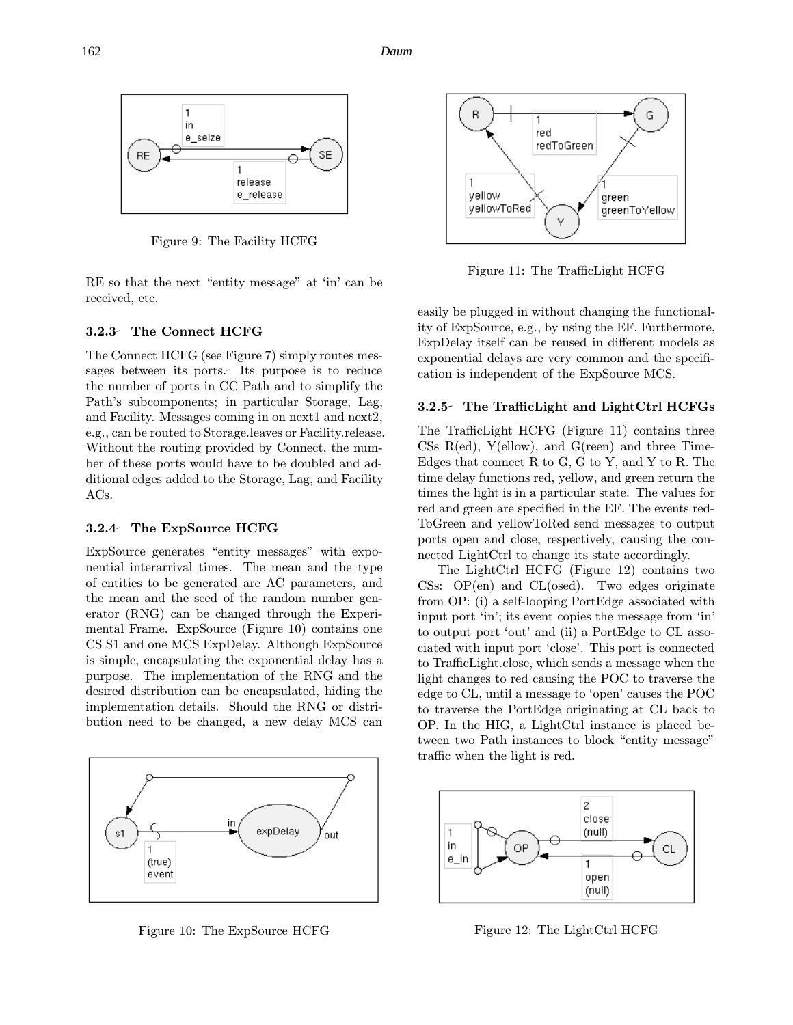162 *Daum*



Figure 9: The Facility HCFG

RE so that the next "entity message" at 'in' can be received, etc.

### 3.2.3 The Connect HCFG

The Connect HCFG (see Figure 7) simply routes messages between its ports. Its purpose is to reduce the number of ports in CC Path and to simplify the Path's subcomponents; in particular Storage, Lag, and Facility. Messages coming in on next1 and next2, e.g., can be routed to Storage.leaves or Facility.release. Without the routing provided by Connect, the number of these ports would have to be doubled and additional edges added to the Storage, Lag, and Facility ACs.

### 3.2.4 The ExpSource HCFG

ExpSource generates "entity messages" with exponential interarrival times. The mean and the type of entities to be generated are AC parameters, and the mean and the seed of the random number generator (RNG) can be changed through the Experimental Frame. ExpSource (Figure 10) contains one CS S1 and one MCS ExpDelay. Although ExpSource is simple, encapsulating the exponential delay has a purpose. The implementation of the RNG and the desired distribution can be encapsulated, hiding the implementation details. Should the RNG or distribution need to be changed, a new delay MCS can



Figure 10: The ExpSource HCFG



Figure 11: The TrafficLight HCFG

easily be plugged in without changing the functionality of ExpSource, e.g., by using the EF. Furthermore, ExpDelay itself can be reused in different models as exponential delays are very common and the specification is independent of the ExpSource MCS.

### 3.2.5 The TrafficLight and LightCtrl HCFGs

The TrafficLight HCFG (Figure 11) contains three CSs  $R(ed)$ ,  $Y(ellow)$ , and  $G(reen)$  and three Time-Edges that connect R to G, G to Y, and Y to R. The time delay functions red, yellow, and green return the times the light is in a particular state. The values for red and green are specified in the EF. The events red-ToGreen and yellowToRed send messages to output ports open and close, respectively, causing the connected LightCtrl to change its state accordingly.

The LightCtrl HCFG (Figure 12) contains two CSs:  $OP(en)$  and  $CL(osed)$ . Two edges originate from OP: (i) a self-looping PortEdge associated with input port 'in'; its event copies the message from 'in' to output port 'out' and (ii) a PortEdge to CL associated with input port 'close'. This port is connected to TrafficLight.close, which sends a message when the light changes to red causing the POC to traverse the edge to CL, until a message to 'open' causes the POC to traverse the PortEdge originating at CL back to OP. In the HIG, a LightCtrl instance is placed between two Path instances to block "entity message" traffic when the light is red.



Figure 12: The LightCtrl HCFG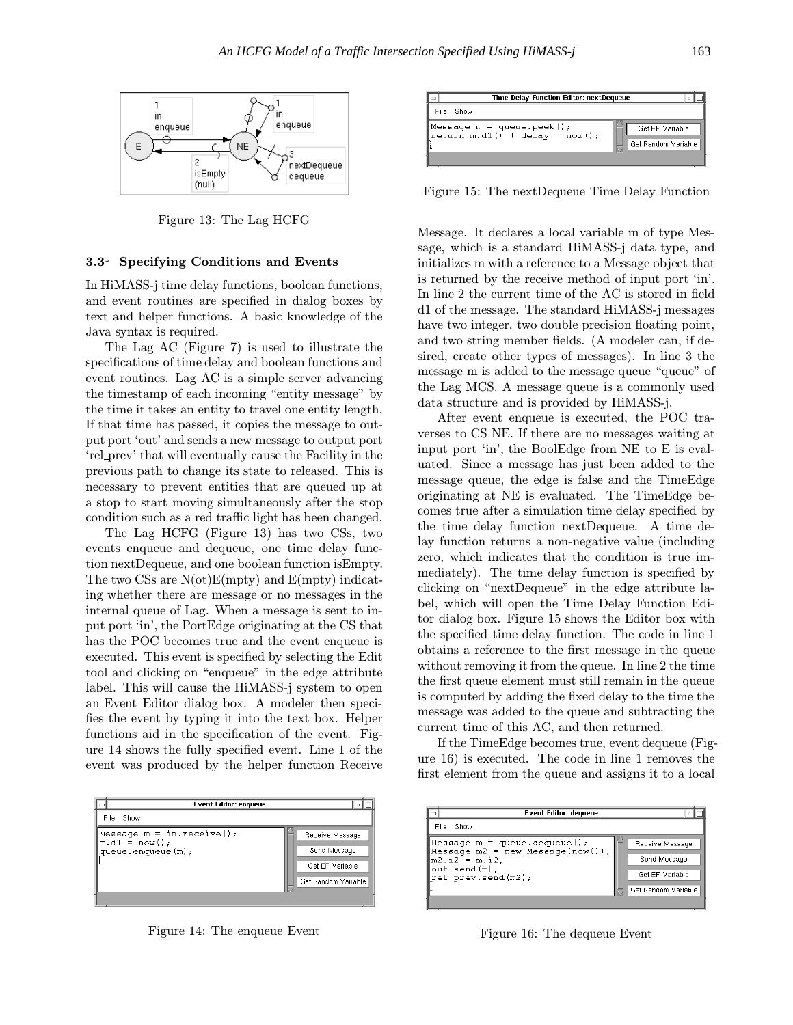

Figure 13: The Lag HCFG

### 3.3 Specifying Conditions and Events

In HiMASS-j time delay functions, boolean functions, and event routines are specified in dialog boxes by text and helper functions. A basic knowledge of the Java syntax is required.

The Lag AC (Figure 7) is used to illustrate the specifications of time delay and boolean functions and event routines. Lag AC is a simple server advancing the timestamp of each incoming "entity message" by the time it takes an entity to travel one entity length. If that time has passed, it copies the message to output port 'out' and sends a new message to output port 'rel prev' that will eventually cause the Facility in the previous path to change its state to released. This is necessary to prevent entities that are queued up at a stop to start moving simultaneously after the stop condition such as a red traffic light has been changed.

The Lag HCFG (Figure 13) has two CSs, two events enqueue and dequeue, one time delay function nextDequeue, and one boolean function isEmpty. The two CSs are N(ot)E(mpty) and E(mpty) indicating whether there are message or no messages in the internal queue of Lag. When a message is sent to input port 'in', the PortEdge originating at the CS that has the POC becomes true and the event enqueue is executed. This event is specified by selecting the Edit tool and clicking on "enqueue" in the edge attribute label. This will cause the HiMASS-j system to open an Event Editor dialog box. A modeler then specifies the event by typing it into the text box. Helper functions aid in the specification of the event. Figure 14 shows the fully specified event. Line 1 of the event was produced by the helper function Receive

| <b>Event Editor: enqueue</b>                 |                     |
|----------------------------------------------|---------------------|
| File<br>Show                                 |                     |
| Message $m = in.receive$<br>$m.d1 = now()$ ; | Receive Message     |
| queue.enqueue(m);                            | Send Message        |
|                                              | Get EF Variable     |
|                                              | Get Random Variable |
|                                              |                     |

Figure 14: The enqueue Event

| Time Delay Function Editor: nextDequeue                                              |                                        |  |
|--------------------------------------------------------------------------------------|----------------------------------------|--|
| File<br>Show                                                                         |                                        |  |
| Message $m =$ queue.peek();<br>$ \text{return m.d1}() + \text{delay} = \text{now}()$ | Get EF Variable<br>Get Random Variable |  |
|                                                                                      |                                        |  |

Figure 15: The nextDequeue Time Delay Function

Message. It declares a local variable m of type Message, which is a standard HiMASS-j data type, and initializes m with a reference to a Message object that is returned by the receive method of input port 'in'. In line 2 the current time of the AC is stored in field d1 of the message. The standard HiMASS-j messages have two integer, two double precision floating point, and two string member fields. (A modeler can, if desired, create other types of messages). In line 3 the message m is added to the message queue "queue" of the Lag MCS. A message queue is a commonly used data structure and is provided by HiMASS-j.

After event enqueue is executed, the POC traverses to CS NE. If there are no messages waiting at input port 'in', the BoolEdge from NE to E is evaluated. Since a message has just been added to the message queue, the edge is false and the TimeEdge originating at NE is evaluated. The TimeEdge becomes true after a simulation time delay specified by the time delay function nextDequeue. A time delay function returns a non-negative value (including zero, which indicates that the condition is true immediately). The time delay function is specified by clicking on "nextDequeue" in the edge attribute label, which will open the Time Delay Function Editor dialog box. Figure 15 shows the Editor box with the specified time delay function. The code in line 1 obtains a reference to the first message in the queue without removing it from the queue. In line 2 the time the first queue element must still remain in the queue is computed by adding the fixed delay to the time the message was added to the queue and subtracting the current time of this AC, and then returned.

If the TimeEdge becomes true, event dequeue (Figure 16) is executed. The code in line 1 removes the first element from the queue and assigns it to a local

| <b>Event Editor: dequeue</b>                                                                                                                              |                     |
|-----------------------------------------------------------------------------------------------------------------------------------------------------------|---------------------|
| File<br>Show                                                                                                                                              |                     |
| $\blacksquare$ Message m = queue.dequeue();<br>Message $m2 = new Message(now())$ ;<br>$\mathbf{m2.i2 = m.i2:}$<br>out.send(m);<br>$rel\_prev.\nend(m2)$ ; | Receive Message     |
|                                                                                                                                                           | Send Message        |
|                                                                                                                                                           | Get EF Variable     |
|                                                                                                                                                           | Get Random Variable |

Figure 16: The dequeue Event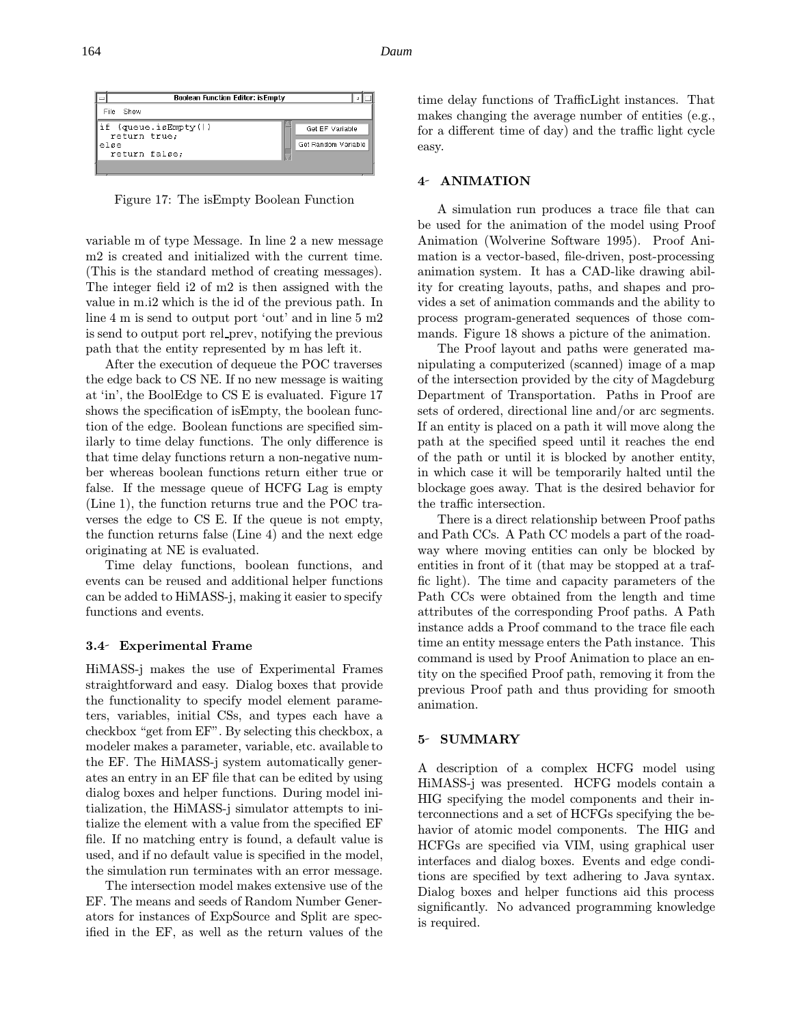| <b>Boolean Function Editor: isEmpty</b>                       |                                        |
|---------------------------------------------------------------|----------------------------------------|
| File<br>Show                                                  |                                        |
| if (queue.isEmpty())<br>return true;<br>∋lse<br>return false; | Get EF Variable<br>Get Random Variable |

Figure 17: The isEmpty Boolean Function

variable m of type Message. In line 2 a new message m2 is created and initialized with the current time. (This is the standard method of creating messages). The integer field i2 of m2 is then assigned with the value in m.i2 which is the id of the previous path. In line 4 m is send to output port 'out' and in line 5 m2 is send to output port rel prev, notifying the previous path that the entity represented by m has left it.

After the execution of dequeue the POC traverses the edge back to CS NE. If no new message is waiting at 'in', the BoolEdge to CS E is evaluated. Figure 17 shows the specification of isEmpty, the boolean function of the edge. Boolean functions are specified similarly to time delay functions. The only difference is that time delay functions return a non-negative number whereas boolean functions return either true or false. If the message queue of HCFG Lag is empty (Line 1), the function returns true and the POC traverses the edge to CS E. If the queue is not empty, the function returns false (Line 4) and the next edge originating at NE is evaluated.

Time delay functions, boolean functions, and events can be reused and additional helper functions can be added to HiMASS-j, making it easier to specify functions and events.

### 3.4 Experimental Frame

HiMASS-j makes the use of Experimental Frames straightforward and easy. Dialog boxes that provide the functionality to specify model element parameters, variables, initial CSs, and types each have a checkbox "get from EF". By selecting this checkbox, a modeler makes a parameter, variable, etc. available to the EF. The HiMASS-j system automatically generates an entry in an EF file that can be edited by using dialog boxes and helper functions. During model initialization, the HiMASS-j simulator attempts to initialize the element with a value from the specified EF file. If no matching entry is found, a default value is used, and if no default value is specified in the model, the simulation run terminates with an error message.

The intersection model makes extensive use of the EF. The means and seeds of Random Number Generators for instances of ExpSource and Split are specified in the EF, as well as the return values of the time delay functions of TrafficLight instances. That makes changing the average number of entities (e.g., for a different time of day) and the traffic light cycle easy.

### 4- ANIMATION

A simulation run produces a trace file that can be used for the animation of the model using Proof Animation (Wolverine Software 1995). Proof Animation is a vector-based, file-driven, post-processing animation system. It has a CAD-like drawing ability for creating layouts, paths, and shapes and provides a set of animation commands and the ability to process program-generated sequences of those commands. Figure 18 shows a picture of the animation.

The Proof layout and paths were generated manipulating a computerized (scanned) image of a map of the intersection provided by the city of Magdeburg Department of Transportation. Paths in Proof are sets of ordered, directional line and/or arc segments. If an entity is placed on a path it will move along the path at the specified speed until it reaches the end of the path or until it is blocked by another entity, in which case it will be temporarily halted until the blockage goes away. That is the desired behavior for the traffic intersection.

There is a direct relationship between Proof paths and Path CCs. A Path CC models a part of the roadway where moving entities can only be blocked by entities in front of it (that may be stopped at a traffic light). The time and capacity parameters of the Path CCs were obtained from the length and time attributes of the corresponding Proof paths. A Path instance adds a Proof command to the trace file each time an entity message enters the Path instance. This command is used by Proof Animation to place an entity on the specified Proof path, removing it from the previous Proof path and thus providing for smooth animation.

# 5- SUMMARY

A description of a complex HCFG model using HiMASS-j was presented. HCFG models contain a HIG specifying the model components and their interconnections and a set of HCFGs specifying the behavior of atomic model components. The HIG and HCFGs are specified via VIM, using graphical user interfaces and dialog boxes. Events and edge conditions are specified by text adhering to Java syntax. Dialog boxes and helper functions aid this process significantly. No advanced programming knowledge is required.